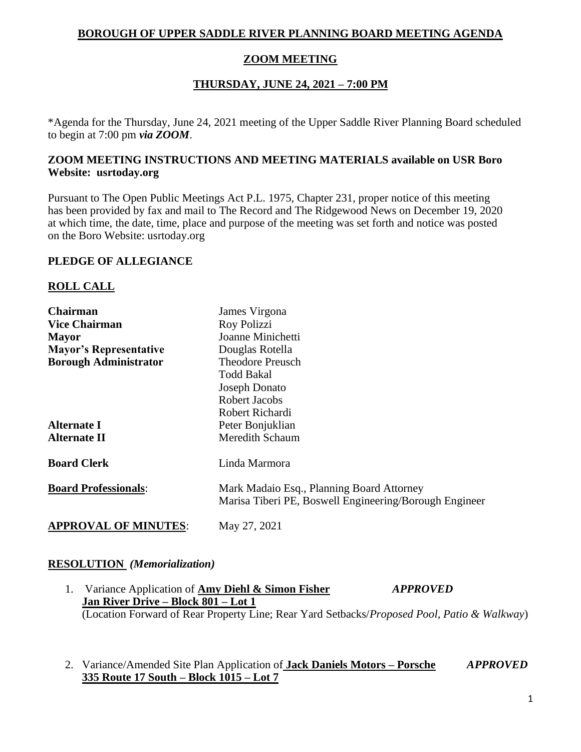### **BOROUGH OF UPPER SADDLE RIVER PLANNING BOARD MEETING AGENDA**

## **ZOOM MEETING**

# **THURSDAY, JUNE 24, 2021 – 7:00 PM**

\*Agenda for the Thursday, June 24, 2021 meeting of the Upper Saddle River Planning Board scheduled to begin at 7:00 pm *via ZOOM*.

### **ZOOM MEETING INSTRUCTIONS AND MEETING MATERIALS available on USR Boro Website: usrtoday.org**

Pursuant to The Open Public Meetings Act P.L. 1975, Chapter 231, proper notice of this meeting has been provided by fax and mail to The Record and The Ridgewood News on December 19, 2020 at which time, the date, time, place and purpose of the meeting was set forth and notice was posted on the Boro Website: usrtoday.org

#### **PLEDGE OF ALLEGIANCE**

### **ROLL CALL**

| <b>Chairman</b>               | James Virgona                                                                                       |
|-------------------------------|-----------------------------------------------------------------------------------------------------|
| <b>Vice Chairman</b>          | Roy Polizzi                                                                                         |
| Mayor                         | Joanne Minichetti                                                                                   |
| <b>Mayor's Representative</b> | Douglas Rotella                                                                                     |
| <b>Borough Administrator</b>  | <b>Theodore Preusch</b>                                                                             |
|                               | Todd Bakal                                                                                          |
|                               | <b>Joseph Donato</b>                                                                                |
|                               | Robert Jacobs                                                                                       |
|                               | Robert Richardi                                                                                     |
| <b>Alternate I</b>            | Peter Bonjuklian                                                                                    |
| <b>Alternate II</b>           | Meredith Schaum                                                                                     |
| <b>Board Clerk</b>            | Linda Marmora                                                                                       |
| <b>Board Professionals:</b>   | Mark Madaio Esq., Planning Board Attorney<br>Marisa Tiberi PE, Boswell Engineering/Borough Engineer |
| <b>APPROVAL OF MINUTES:</b>   | May 27, 2021                                                                                        |

#### **RESOLUTION** *(Memorialization)*

- 1. Variance Application of **Amy Diehl & Simon Fisher** *APPROVED* **Jan River Drive – Block 801 – Lot 1** (Location Forward of Rear Property Line; Rear Yard Setbacks/*Proposed Pool, Patio & Walkway*)
- 2. Variance/Amended Site Plan Application of **Jack Daniels Motors – Porsche** *APPROVED* **335 Route 17 South – Block 1015 – Lot 7**